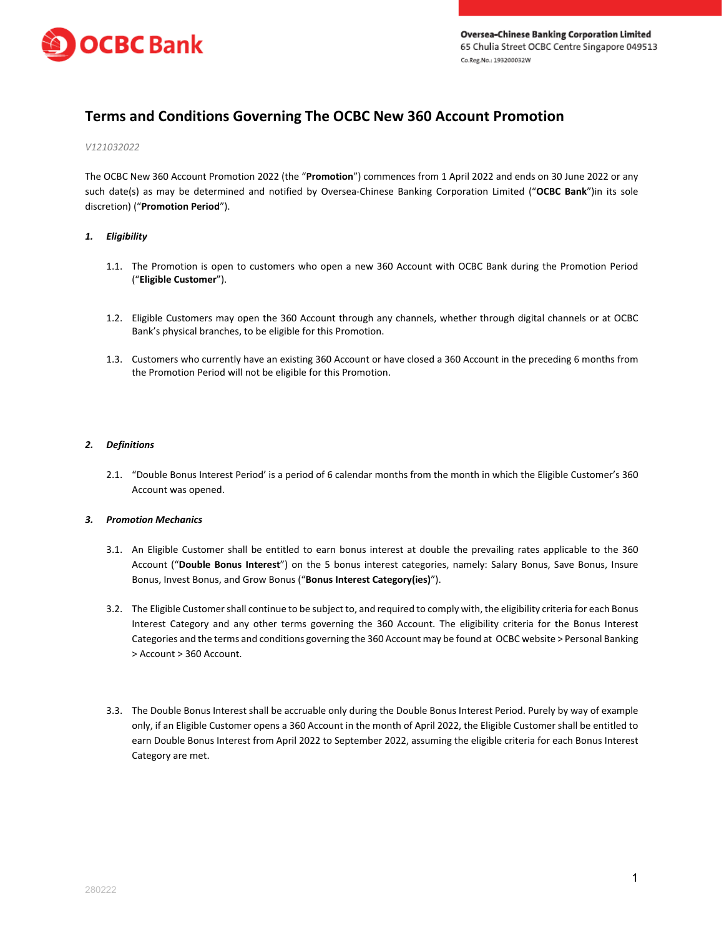

# **Terms and Conditions Governing The OCBC New 360 Account Promotion**

#### *V121032022*

The OCBC New 360 Account Promotion 2022 (the "**Promotion**") commences from 1 April 2022 and ends on 30 June 2022 or any such date(s) as may be determined and notified by Oversea-Chinese Banking Corporation Limited ("**OCBC Bank**")in its sole discretion) ("**Promotion Period**").

## *1. Eligibility*

- 1.1. The Promotion is open to customers who open a new 360 Account with OCBC Bank during the Promotion Period ("**Eligible Customer**").
- 1.2. Eligible Customers may open the 360 Account through any channels, whether through digital channels or at OCBC Bank's physical branches, to be eligible for this Promotion.
- 1.3. Customers who currently have an existing 360 Account or have closed a 360 Account in the preceding 6 months from the Promotion Period will not be eligible for this Promotion.

## *2. Definitions*

2.1. "Double Bonus Interest Period' is a period of 6 calendar months from the month in which the Eligible Customer's 360 Account was opened.

## *3. Promotion Mechanics*

- 3.1. An Eligible Customer shall be entitled to earn bonus interest at double the prevailing rates applicable to the 360 Account ("**Double Bonus Interest**") on the 5 bonus interest categories, namely: Salary Bonus, Save Bonus, Insure Bonus, Invest Bonus, and Grow Bonus ("**Bonus Interest Category(ies)**").
- 3.2. The Eligible Customer shall continue to be subject to, and required to comply with, the eligibility criteria for each Bonus Interest Category and any other terms governing the 360 Account. The eligibility criteria for the Bonus Interest Categories and the terms and conditions governing the 360 Account may be found at OCBC website > Personal Banking > Account > 360 Account.
- 3.3. The Double Bonus Interest shall be accruable only during the Double Bonus Interest Period. Purely by way of example only, if an Eligible Customer opens a 360 Account in the month of April 2022, the Eligible Customer shall be entitled to earn Double Bonus Interest from April 2022 to September 2022, assuming the eligible criteria for each Bonus Interest Category are met.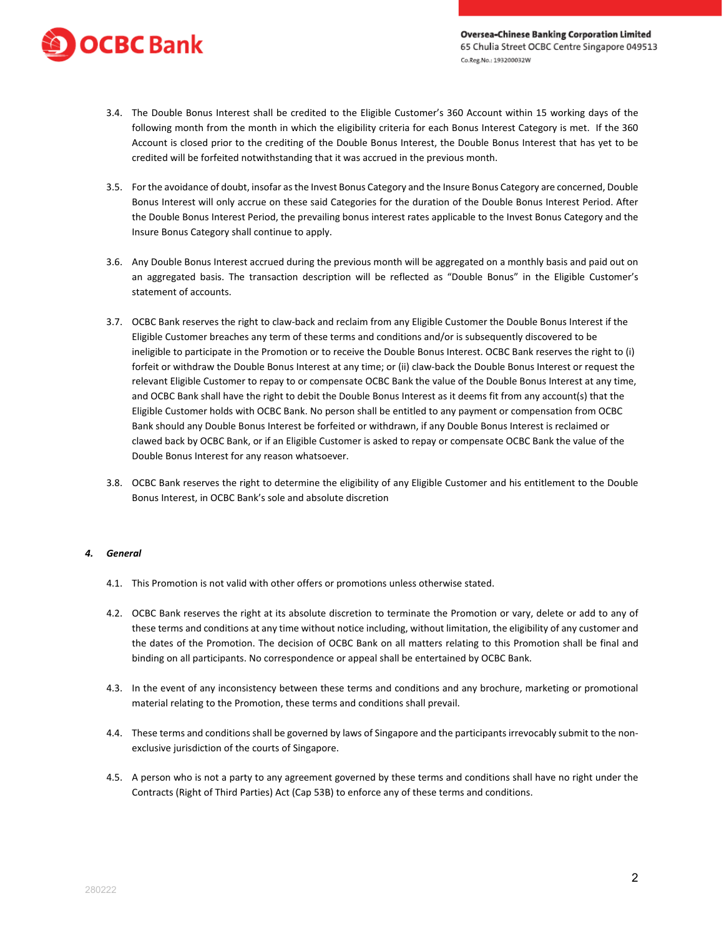

- 3.4. The Double Bonus Interest shall be credited to the Eligible Customer's 360 Account within 15 working days of the following month from the month in which the eligibility criteria for each Bonus Interest Category is met. If the 360 Account is closed prior to the crediting of the Double Bonus Interest, the Double Bonus Interest that has yet to be credited will be forfeited notwithstanding that it was accrued in the previous month.
- 3.5. For the avoidance of doubt, insofar as the Invest Bonus Category and the Insure Bonus Category are concerned, Double Bonus Interest will only accrue on these said Categories for the duration of the Double Bonus Interest Period. After the Double Bonus Interest Period, the prevailing bonus interest rates applicable to the Invest Bonus Category and the Insure Bonus Category shall continue to apply.
- 3.6. Any Double Bonus Interest accrued during the previous month will be aggregated on a monthly basis and paid out on an aggregated basis. The transaction description will be reflected as "Double Bonus" in the Eligible Customer's statement of accounts.
- 3.7. OCBC Bank reserves the right to claw-back and reclaim from any Eligible Customer the Double Bonus Interest if the Eligible Customer breaches any term of these terms and conditions and/or is subsequently discovered to be ineligible to participate in the Promotion or to receive the Double Bonus Interest. OCBC Bank reserves the right to (i) forfeit or withdraw the Double Bonus Interest at any time; or (ii) claw-back the Double Bonus Interest or request the relevant Eligible Customer to repay to or compensate OCBC Bank the value of the Double Bonus Interest at any time, and OCBC Bank shall have the right to debit the Double Bonus Interest as it deems fit from any account(s) that the Eligible Customer holds with OCBC Bank. No person shall be entitled to any payment or compensation from OCBC Bank should any Double Bonus Interest be forfeited or withdrawn, if any Double Bonus Interest is reclaimed or clawed back by OCBC Bank, or if an Eligible Customer is asked to repay or compensate OCBC Bank the value of the Double Bonus Interest for any reason whatsoever.
- 3.8. OCBC Bank reserves the right to determine the eligibility of any Eligible Customer and his entitlement to the Double Bonus Interest, in OCBC Bank's sole and absolute discretion

## *4. General*

- 4.1. This Promotion is not valid with other offers or promotions unless otherwise stated.
- 4.2. OCBC Bank reserves the right at its absolute discretion to terminate the Promotion or vary, delete or add to any of these terms and conditions at any time without notice including, without limitation, the eligibility of any customer and the dates of the Promotion. The decision of OCBC Bank on all matters relating to this Promotion shall be final and binding on all participants. No correspondence or appeal shall be entertained by OCBC Bank.
- 4.3. In the event of any inconsistency between these terms and conditions and any brochure, marketing or promotional material relating to the Promotion, these terms and conditions shall prevail.
- 4.4. These terms and conditions shall be governed by laws of Singapore and the participants irrevocably submit to the nonexclusive jurisdiction of the courts of Singapore.
- 4.5. A person who is not a party to any agreement governed by these terms and conditions shall have no right under the Contracts (Right of Third Parties) Act (Cap 53B) to enforce any of these terms and conditions.